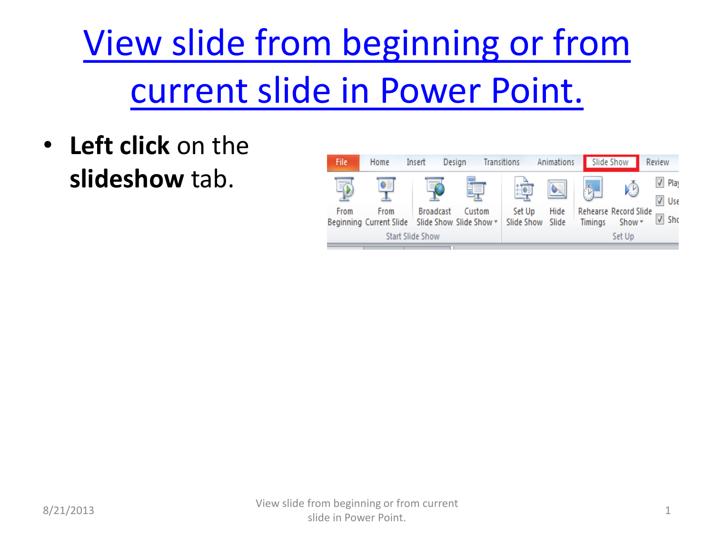## [View slide from beginning or from](#page-1-0)  [current slide in Power Point.](#page-1-0)

• **Left click** on the **slideshow** tab.

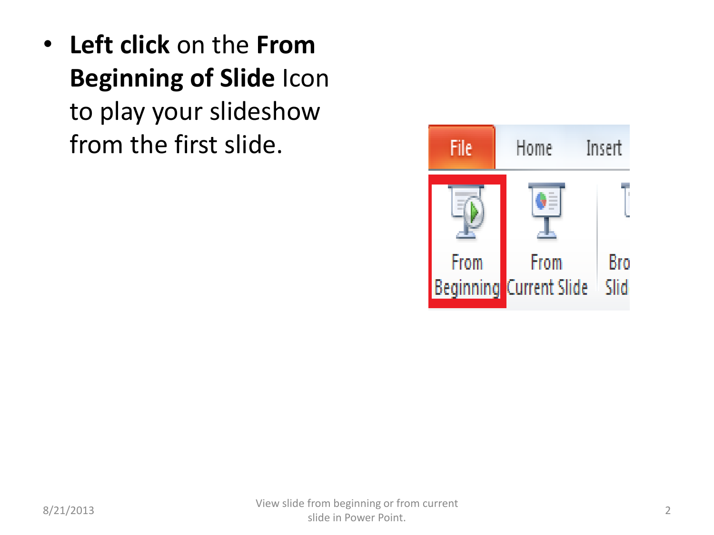<span id="page-1-0"></span>• **Left click** on the **From Beginning of Slide** Icon to play your slideshow from the first slide.

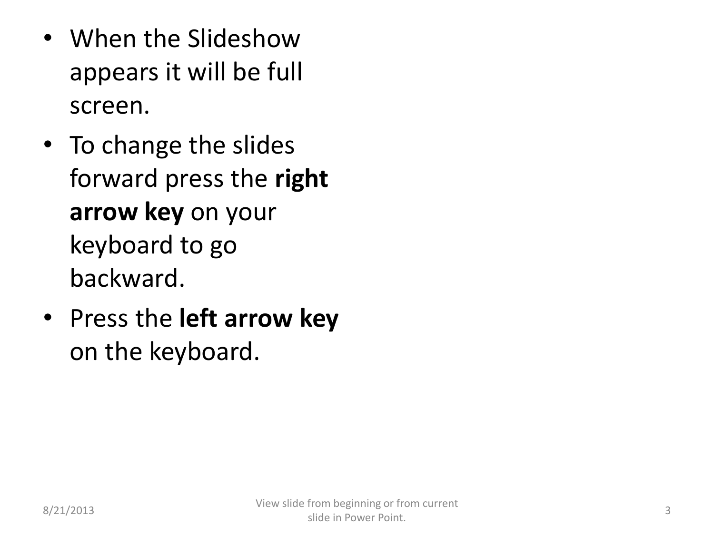- When the Slideshow appears it will be full screen.
- To change the slides forward press the **right arrow key** on your keyboard to go backward.
- Press the **left arrow key** on the keyboard.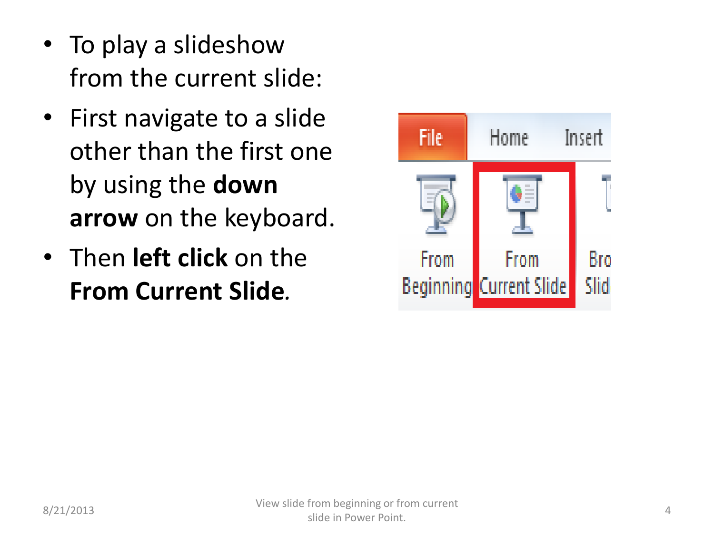- To play a slideshow from the current slide:
- First navigate to a slide other than the first one by using the **down arrow** on the keyboard.
- Then **left click** on the **From Current Slide***.*